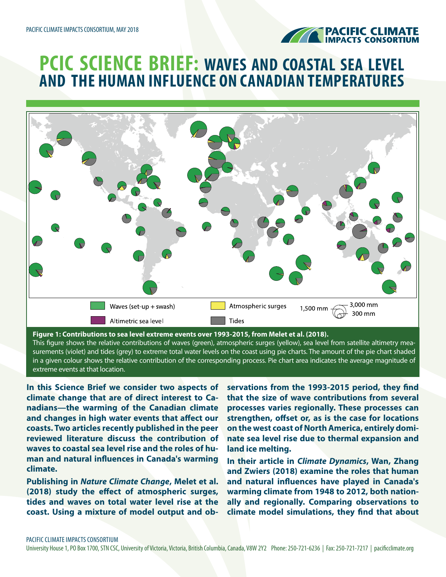

# **PCIC SCIENCE BRIEF: WAVES AND COASTAL SEA LEVEL AND THE HUMAN INFLUENCE ON CANADIAN TEMPERATURES**



This figure shows the relative contributions of waves (green), atmospheric surges (yellow), sea level from satellite altimetry measurements (violet) and tides (grey) to extreme total water levels on the coast using pie charts. The amount of the pie chart shaded in a given colour shows the relative contribution of the corresponding process. Pie chart area indicates the average magnitude of extreme events at that location.

**In this Science Brief we consider two aspects of climate change that are of direct interest to Canadians—the warming of the Canadian climate and changes in high water events that affect our coasts. Two articles recently published in the peer reviewed literature discuss the contribution of waves to coastal sea level rise and the roles of human and natural influences in Canada's warming climate.**

**Publishing in** *Nature Climate Change***, Melet et al. (2018) study the effect of atmospheric surges, tides and waves on total water level rise at the coast. Using a mixture of model output and ob-** **servations from the 1993-2015 period, they find that the size of wave contributions from several processes varies regionally. These processes can strengthen, offset or, as is the case for locations on the west coast of North America, entirely dominate sea level rise due to thermal expansion and land ice melting.**

**In their article in** *Climate Dynamics***, Wan, Zhang and Zwiers (2018) examine the roles that human and natural influences have played in Canada's warming climate from 1948 to 2012, both nationally and regionally. Comparing observations to climate model simulations, they find that about**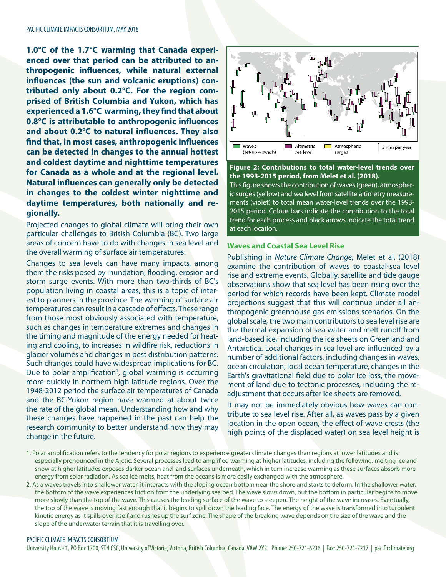**1.0°C of the 1.7°C warming that Canada experienced over that period can be attributed to anthropogenic influences, while natural external influences (the sun and volcanic eruptions) contributed only about 0.2°C. For the region comprised of British Columbia and Yukon, which has experienced a 1.6°C warming, they find that about 0.8°C is attributable to anthropogenic influences and about 0.2°C to natural influences. They also find that, in most cases, anthropogenic influences can be detected in changes to the annual hottest and coldest daytime and nighttime temperatures for Canada as a whole and at the regional level. Natural influences can generally only be detected in changes to the coldest winter nighttime and daytime temperatures, both nationally and regionally.**

Projected changes to global climate will bring their own particular challenges to British Columbia (BC). Two large areas of concern have to do with changes in sea level and the overall warming of surface air temperatures.

Changes to sea levels can have many impacts, among them the risks posed by inundation, flooding, erosion and storm surge events. With more than two-thirds of BC's population living in coastal areas, this is a topic of interest to planners in the province. The warming of surface air temperatures can result in a cascade of effects. These range from those most obviously associated with temperature, such as changes in temperature extremes and changes in the timing and magnitude of the energy needed for heating and cooling, to increases in wildfire risk, reductions in glacier volumes and changes in pest distribution patterns. Such changes could have widespread implications for BC. Due to polar amplification<sup>1</sup>, global warming is occurring more quickly in northern high-latitude regions. Over the 1948-2012 period the surface air temperatures of Canada and the BC-Yukon region have warmed at about twice the rate of the global mean. Understanding how and why these changes have happened in the past can help the research community to better understand how they may change in the future.



**Figure 2: Contributions to total water-level trends over the 1993-2015 period, from Melet et al. (2018).** 

This figure shows the contribution of waves (green), atmospheric surges (yellow) and sea level from satellite altimetry measurements (violet) to total mean water-level trends over the 1993- 2015 period. Colour bars indicate the contribution to the total trend for each process and black arrows indicate the total trend at each location.

# **Waves and Coastal Sea Level Rise**

Publishing in *Nature Climate Change*, Melet et al. (2018) examine the contribution of waves to coastal-sea level rise and extreme events. Globally, satellite and tide gauge observations show that sea level has been rising over the period for which records have been kept. Climate model projections suggest that this will continue under all anthropogenic greenhouse gas emissions scenarios. On the global scale, the two main contributors to sea level rise are the thermal expansion of sea water and melt runoff from land-based ice, including the ice sheets on Greenland and Antarctica. Local changes in sea level are influenced by a number of additional factors, including changes in waves, ocean circulation, local ocean temperature, changes in the Earth's gravitational field due to polar ice loss, the movement of land due to tectonic processes, including the readjustment that occurs after ice sheets are removed.

It may not be immediately obvious how waves can contribute to sea level rise. After all, as waves pass by a given location in the open ocean, the effect of wave crests (the high points of the displaced water) on sea level height is

- 1. Polar amplification refers to the tendency for polar regions to experience greater climate changes than regions at lower latitudes and is especially pronounced in the Arctic. Several processes lead to amplified warming at higher latitudes, including the following: melting ice and snow at higher latitudes exposes darker ocean and land surfaces underneath, which in turn increase warming as these surfaces absorb more energy from solar radiation. As sea ice melts, heat from the oceans is more easily exchanged with the atmosphere.
- 2. As a waves travels into shallower water, it interacts with the sloping ocean bottom near the shore and starts to deform. In the shallower water, the bottom of the wave experiences friction from the underlying sea bed. The wave slows down, but the bottom in particular begins to move more slowly than the top of the wave. This causes the leading surface of the wave to steepen. The height of the wave increases. Eventually, the top of the wave is moving fast enough that it begins to spill down the leading face. The energy of the wave is transformed into turbulent kinetic energy as it spills over itself and rushes up the surf zone. The shape of the breaking wave depends on the size of the wave and the slope of the underwater terrain that it is travelling over.

#### PACIFIC CLIMATE IMPACTS CONSORTIUM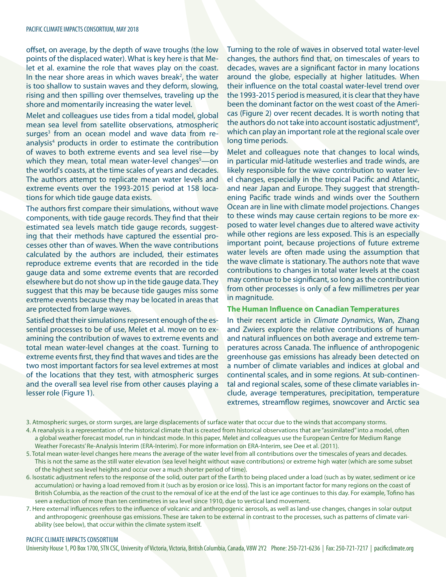offset, on average, by the depth of wave troughs (the low points of the displaced water). What is key here is that Melet et al. examine the role that waves play on the coast. In the near shore areas in which waves break<sup>2</sup>, the water is too shallow to sustain waves and they deform, slowing, rising and then spilling over themselves, traveling up the shore and momentarily increasing the water level.

Melet and colleagues use tides from a tidal model, global mean sea level from satellite observations, atmospheric surges<sup>3</sup> from an ocean model and wave data from reanalysis<sup>4</sup> products in order to estimate the contribution of waves to both extreme events and sea level rise—by which they mean, total mean water-level changes<sup>5</sup>—on the world's coasts, at the time scales of years and decades. The authors attempt to replicate mean water levels and extreme events over the 1993-2015 period at 158 locations for which tide gauge data exists.

The authors first compare their simulations, without wave components, with tide gauge records. They find that their estimated sea levels match tide gauge records, suggesting that their methods have captured the essential processes other than of waves. When the wave contributions calculated by the authors are included, their estimates reproduce extreme events that are recorded in the tide gauge data and some extreme events that are recorded elsewhere but do not show up in the tide gauge data. They suggest that this may be because tide gauges miss some extreme events because they may be located in areas that are protected from large waves.

Satisfied that their simulations represent enough of the essential processes to be of use, Melet et al. move on to examining the contribution of waves to extreme events and total mean water-level changes at the coast. Turning to extreme events first, they find that waves and tides are the two most important factors for sea level extremes at most of the locations that they test, with atmospheric surges and the overall sea level rise from other causes playing a lesser role (Figure 1).

Turning to the role of waves in observed total water-level changes, the authors find that, on timescales of years to decades, waves are a significant factor in many locations around the globe, especially at higher latitudes. When their influence on the total coastal water-level trend over the 1993-2015 period is measured, it is clear that they have been the dominant factor on the west coast of the Americas (Figure 2) over recent decades. It is worth noting that the authors do not take into account isostatic adjustment<sup>6</sup>, which can play an important role at the regional scale over long time periods.

Melet and colleagues note that changes to local winds, in particular mid-latitude westerlies and trade winds, are likely responsible for the wave contribution to water level changes, especially in the tropical Pacific and Atlantic, and near Japan and Europe. They suggest that strengthening Pacific trade winds and winds over the Southern Ocean are in line with climate model projections. Changes to these winds may cause certain regions to be more exposed to water level changes due to altered wave activity while other regions are less exposed. This is an especially important point, because projections of future extreme water levels are often made using the assumption that the wave climate is stationary. The authors note that wave contributions to changes in total water levels at the coast may continue to be significant, so long as the contribution from other processes is only of a few millimetres per year in magnitude.

## **The Human Influence on Canadian Temperatures**

In their recent article in *Climate Dynamics*, Wan, Zhang and Zwiers explore the relative contributions of human and natural influences on both average and extreme temperatures across Canada. The influence of anthropogenic greenhouse gas emissions has already been detected on a number of climate variables and indices at global and continental scales, and in some regions. At sub-continental and regional scales, some of these climate variables include, average temperatures, precipitation, temperature extremes, streamflow regimes, snowcover and Arctic sea

- 4. A reanalysis is a representation of the historical climate that is created from historical observations that are "assimilated" into a model, often a global weather forecast model, run in hindcast mode. In this paper, Melet and colleagues use the European Centre for Medium Range Weather Forecasts' Re-Analysis Interim (ERA-Interim). For more information on ERA-Interim, see Dee et al. (2011).
- 5. Total mean water-level changes here means the average of the water level from all contributions over the timescales of years and decades. This is not the same as the still water elevation (sea level height without wave contributions) or extreme high water (which are some subset of the highest sea level heights and occur over a much shorter period of time).
- 6. Isostatic adjustment refers to the response of the solid, outer part of the Earth to being placed under a load (such as by water, sediment or ice accumulation) or having a load removed from it (such as by erosion or ice loss). This is an important factor for many regions on the coast of British Columbia, as the reaction of the crust to the removal of ice at the end of the last ice age continues to this day. For example, Tofino has seen a reduction of more than ten centimetres in sea level since 1910, due to vertical land movement.
- 7. Here external influences refers to the influence of volcanic and anthropogenic aerosols, as well as land-use changes, changes in solar output and anthropogenic greenhouse gas emissions. These are taken to be external in contrast to the processes, such as patterns of climate variability (see below), that occur within the climate system itself.

#### PACIFIC CLIMATE IMPACTS CONSORTIUM

<sup>3.</sup> Atmospheric surges, or storm surges, are large displacements of surface water that occur due to the winds that accompany storms.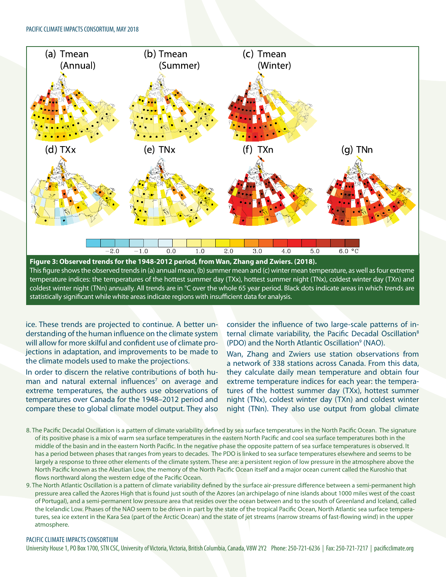

temperature indices: the temperatures of the hottest summer day (TXx), hottest summer night (TNx), coldest winter day (TXn) and coldest winter night (TNn) annually. All trends are in °C over the whole 65 year period. Black dots indicate areas in which trends are statistically significant while white areas indicate regions with insufficient data for analysis.

ice. These trends are projected to continue. A better understanding of the human influence on the climate system will allow for more skilful and confident use of climate projections in adaptation, and improvements to be made to the climate models used to make the projections.

In order to discern the relative contributions of both human and natural external influences<sup>7</sup> on average and extreme temperatures, the authors use observations of temperatures over Canada for the 1948–2012 period and compare these to global climate model output. They also

consider the influence of two large-scale patterns of internal climate variability, the Pacific Decadal Oscillation<sup>8</sup> (PDO) and the North Atlantic Oscillation<sup>9</sup> (NAO).

Wan, Zhang and Zwiers use station observations from a network of 338 stations across Canada. From this data, they calculate daily mean temperature and obtain four extreme temperature indices for each year: the temperatures of the hottest summer day (TXx), hottest summer night (TNx), coldest winter day (TXn) and coldest winter night (TNn). They also use output from global climate

- 8. The Pacific Decadal Oscillation is a pattern of climate variability defined by sea surface temperatures in the North Pacific Ocean. The signature of its positive phase is a mix of warm sea surface temperatures in the eastern North Pacific and cool sea surface temperatures both in the middle of the basin and in the eastern North Pacific. In the negative phase the opposite pattern of sea surface temperatures is observed. It has a period between phases that ranges from years to decades. The PDO is linked to sea surface temperatures elsewhere and seems to be largely a response to three other elements of the climate system. These are: a persistent region of low pressure in the atmosphere above the North Pacific known as the Aleutian Low, the memory of the North Pacific Ocean itself and a major ocean current called the Kuroshio that flows northward along the western edge of the Pacific Ocean.
- 9. The North Atlantic Oscillation is a pattern of climate variability defined by the surface air-pressure difference between a semi-permanent high pressure area called the Azores High that is found just south of the Azores (an archipelago of nine islands about 1000 miles west of the coast of Portugal), and a semi-permanent low pressure area that resides over the ocean between and to the south of Greenland and Iceland, called the Icelandic Low. Phases of the NAO seem to be driven in part by the state of the tropical Pacific Ocean, North Atlantic sea surface temperatures, sea ice extent in the Kara Sea (part of the Arctic Ocean) and the state of jet streams (narrow streams of fast-flowing wind) in the upper atmosphere.

## PACIFIC CLIMATE IMPACTS CONSORTIUM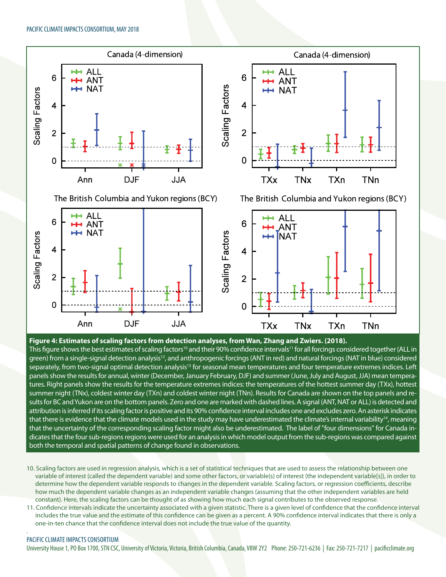

## **Figure 4: Estimates of scaling factors from detection analyses, from Wan, Zhang and Zwiers. (2018).**  This figure shows the best estimates of scaling factors<sup>10</sup> and their 90% confidence intervals<sup>11</sup> for all forcings considered together (ALL in green) from a single-signal detection analysis<sup>12</sup>, and anthropogenic forcings (ANT in red) and natural forcings (NAT in blue) considered separately, from two-signal optimal detection analysis<sup>13</sup> for seasonal mean temperatures and four temperature extremes indices. Left panels show the results for annual, winter (December, January February, DJF) and summer (June, July and August, JJA) mean temperatures. Right panels show the results for the temperature extremes indices: the temperatures of the hottest summer day (TXx), hottest summer night (TNx), coldest winter day (TXn) and coldest winter night (TNn). Results for Canada are shown on the top panels and results for BC and Yukon are on the bottom panels. Zero and one are marked with dashed lines. A signal (ANT, NAT or ALL) is detected and attribution is inferred if its scaling factor is positive and its 90% confidence interval includes one and excludes zero. An asterisk indicates that there is evidence that the climate models used in the study may have underestimated the climate's internal variability<sup>14</sup>, meaning that the uncertainty of the corresponding scaling factor might also be underestimated. The label of "four dimensions" for Canada indicates that the four sub-regions regions were used for an analysis in which model output from the sub-regions was compared against both the temporal and spatial patterns of change found in observations.

- 10. Scaling factors are used in regression analysis, which is a set of statistical techniques that are used to assess the relationship between one variable of interest (called the dependent variable) and some other factors, or variable(s) of interest (the independent variable[s]), in order to determine how the dependent variable responds to changes in the dependent variable. Scaling factors, or regression coefficients, describe how much the dependent variable changes as an independent variable changes (assuming that the other independent variables are held constant). Here, the scaling factors can be thought of as showing how much each signal contributes to the observed response.
- 11. Confidence intervals indicate the uncertainty associated with a given statistic. There is a given level of confidence that the confidence interval includes the true value and the estimate of this confidence can be given as a percent. A 90% confidence interval indicates that there is only a one-in-ten chance that the confidence interval does not include the true value of the quantity.

## PACIFIC CLIMATE IMPACTS CONSORTIUM

.